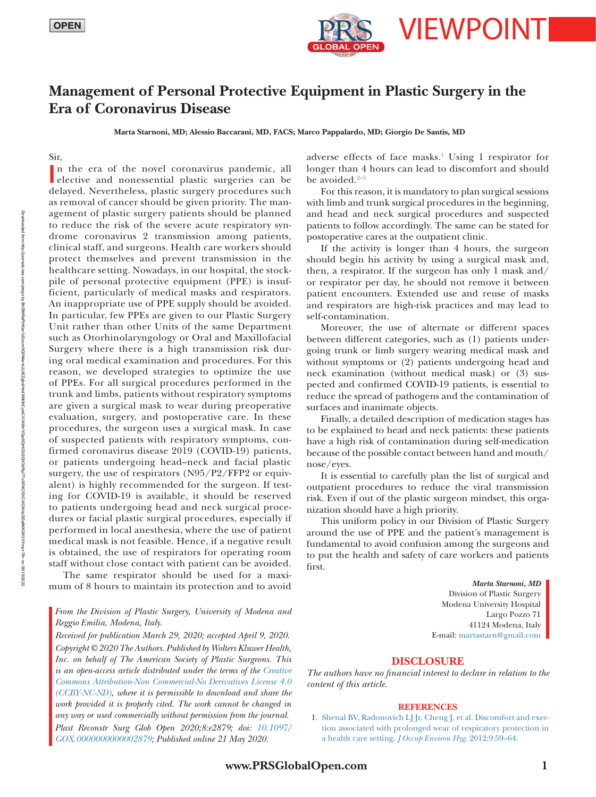

## **Management of Personal Protective Equipment in Plastic Surgery in the Era of Coronavirus Disease**

**Marta Starnoni, MD; Alessio Baccarani, MD, FACS; Marco Pappalardo, MD; Giorgio De Santis, MD**

Sir,

In the era of the novel coronavirus pandemic, all elective and nonessential plastic surgeries can be n the era of the novel coronavirus pandemic, all delayed. Nevertheless, plastic surgery procedures such as removal of cancer should be given priority. The management of plastic surgery patients should be planned to reduce the risk of the severe acute respiratory syndrome coronavirus 2 transmission among patients, clinical staff, and surgeons. Health care workers should protect themselves and prevent transmission in the healthcare setting. Nowadays, in our hospital, the stockpile of personal protective equipment (PPE) is insufficient, particularly of medical masks and respirators. An inappropriate use of PPE supply should be avoided. In particular, few PPEs are given to our Plastic Surgery Unit rather than other Units of the same Department such as Otorhinolaryngology or Oral and Maxillofacial Surgery where there is a high transmission risk during oral medical examination and procedures. For this reason, we developed strategies to optimize the use of PPEs. For all surgical procedures performed in the trunk and limbs, patients without respiratory symptoms are given a surgical mask to wear during preoperative evaluation, surgery, and postoperative care. In these procedures, the surgeon uses a surgical mask. In case of suspected patients with respiratory symptoms, confirmed coronavirus disease 2019 (COVID-19) patients, or patients undergoing head–neck and facial plastic surgery, the use of respirators (N95/P2/FFP2 or equivalent) is highly recommended for the surgeon. If testing for COVID-19 is available, it should be reserved to patients undergoing head and neck surgical procedures or facial plastic surgical procedures, especially if performed in local anesthesia, where the use of patient medical mask is not feasible. Hence, if a negative result is obtained, the use of respirators for operating room staff without close contact with patient can be avoided.

The same respirator should be used for a maximum of 8 hours to maintain its protection and to avoid

*From the Division of Plastic Surgery, University of Modena and Reggio Emilia, Modena, Italy.*

*Received for publication March 29, 2020; accepted April 9, 2020. Copyright © 2020 The Authors. Published by Wolters Kluwer Health, Inc. on behalf of The American Society of Plastic Surgeons. This is an open-access article distributed under the terms of the [Creative](http://creativecommons.org/licenses/by-nc-nd/4.0/)  [Commons Attribution-Non Commercial-No Derivatives License 4.0](http://creativecommons.org/licenses/by-nc-nd/4.0/)  [\(CCBY-NC-ND\)](http://creativecommons.org/licenses/by-nc-nd/4.0/), where it is permissible to download and share the*  work provided it is properly cited. The work cannot be changed in *any way or used commercially without permission from the journal. Plast Reconstr Surg Glob Open 2020;8:e2879; doi: [10.1097/](https://doi.org/10.1097/GOX.0000000000002879) [GOX.0000000000002879;](https://doi.org/10.1097/GOX.0000000000002879) Published online 21 May 2020.*

adverse effects of face masks.<sup>1</sup> Using 1 respirator for longer than 4 hours can lead to discomfort and should be avoided.<sup>2-5</sup>

For this reason, it is mandatory to plan surgical sessions with limb and trunk surgical procedures in the beginning, and head and neck surgical procedures and suspected patients to follow accordingly. The same can be stated for postoperative cares at the outpatient clinic.

If the activity is longer than 4 hours, the surgeon should begin his activity by using a surgical mask and, then, a respirator. If the surgeon has only 1 mask and/ or respirator per day, he should not remove it between patient encounters. Extended use and reuse of masks and respirators are high-risk practices and may lead to self-contamination.

Moreover, the use of alternate or different spaces between different categories, such as (1) patients undergoing trunk or limb surgery wearing medical mask and without symptoms or (2) patients undergoing head and neck examination (without medical mask) or (3) suspected and confirmed COVID-19 patients, is essential to reduce the spread of pathogens and the contamination of surfaces and inanimate objects.

Finally, a detailed description of medication stages has to be explained to head and neck patients: these patients have a high risk of contamination during self-medication because of the possible contact between hand and mouth/ nose/eyes.

It is essential to carefully plan the list of surgical and outpatient procedures to reduce the viral transmission risk. Even if out of the plastic surgeon mindset, this organization should have a high priority.

This uniform policy in our Division of Plastic Surgery around the use of PPE and the patient's management is fundamental to avoid confusion among the surgeons and to put the health and safety of care workers and patients first.

> *Marta Starnoni, MD* Division of Plastic Surgery Modena University Hospital Largo Pozzo 71 41124 Modena, Italy E-mail: [martastarn@gmail.com](mailto:martastarn@gmail.com?subject=)

## **DISCLOSURE**

*The authors have no financial interest to declare in relation to the content of this article.*

## **REFERENCES**

1. [Shenal BV, Radonovich LJ Jr, Cheng J, et al. Discomfort and exer](https://doi.org/10.1080/15459624.2012.635133)[tion associated with prolonged wear of respiratory protection in](https://doi.org/10.1080/15459624.2012.635133)  [a health care setting.](https://doi.org/10.1080/15459624.2012.635133) *J Occup Environ Hyg*. 2012;9:59–64.